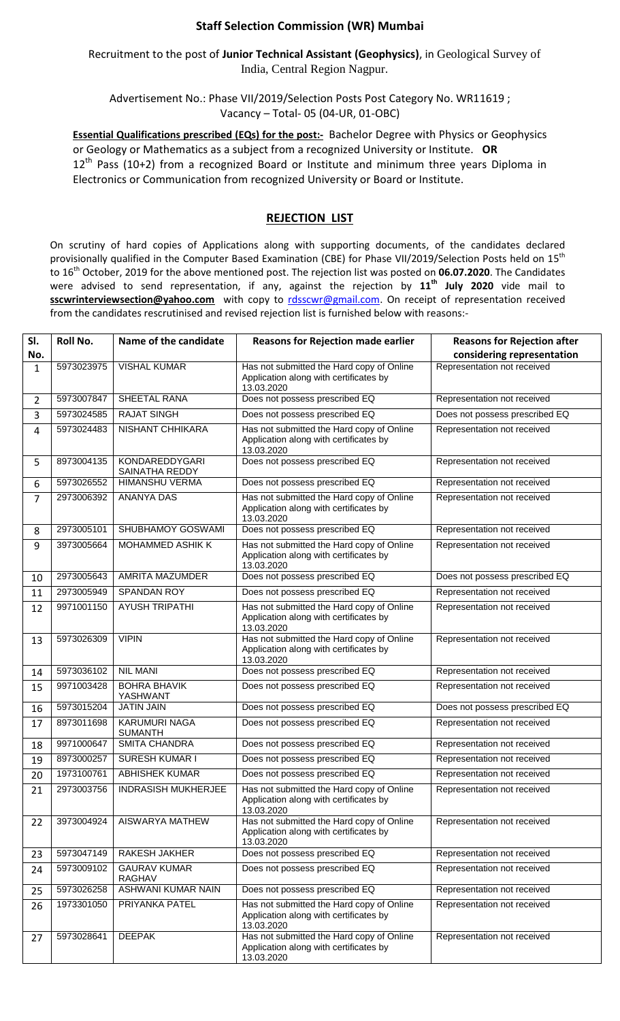## **Staff Selection Commission (WR) Mumbai**

Recruitment to the post of **Junior Technical Assistant (Geophysics)**, in Geological Survey of India, Central Region Nagpur.

Advertisement No.: Phase VII/2019/Selection Posts Post Category No. WR11619 ; Vacancy – Total- 05 (04-UR, 01-OBC)

**Essential Qualifications prescribed (EQs) for the post:-** Bachelor Degree with Physics or Geophysics or Geology or Mathematics as a subject from a recognized University or Institute. **OR**  $12<sup>th</sup>$  Pass (10+2) from a recognized Board or Institute and minimum three years Diploma in Electronics or Communication from recognized University or Board or Institute.

## **REJECTION LIST**

On scrutiny of hard copies of Applications along with supporting documents, of the candidates declared provisionally qualified in the Computer Based Examination (CBE) for Phase VII/2019/Selection Posts held on 15<sup>th</sup> to 16th October, 2019 for the above mentioned post. The rejection list was posted on **06.07.2020**. The Candidates were advised to send representation, if any, against the rejection by **11th July 2020** vide mail to sscwrinterviewsection@yahoo.com with copy to [rdsscwr@gmail.com.](mailto:rdsscwr@gmail.com) On receipt of representation received from the candidates rescrutinised and revised rejection list is furnished below with reasons:-

| SI. | Roll No.   | Name of the candidate                  | <b>Reasons for Rejection made earlier</b>                                                         | <b>Reasons for Rejection after</b> |
|-----|------------|----------------------------------------|---------------------------------------------------------------------------------------------------|------------------------------------|
| No. |            |                                        |                                                                                                   | considering representation         |
| 1   | 5973023975 | <b>VISHAL KUMAR</b>                    | Has not submitted the Hard copy of Online<br>Application along with certificates by<br>13.03.2020 | Representation not received        |
| 2   | 5973007847 | SHEETAL RANA                           | Does not possess prescribed EQ                                                                    | Representation not received        |
| 3   | 5973024585 | <b>RAJAT SINGH</b>                     | Does not possess prescribed EQ                                                                    | Does not possess prescribed EQ     |
| 4   | 5973024483 | <b>NISHANT CHHIKARA</b>                | Has not submitted the Hard copy of Online<br>Application along with certificates by<br>13.03.2020 | Representation not received        |
| 5   | 8973004135 | KONDAREDDYGARI<br>SAINATHA REDDY       | Does not possess prescribed EQ                                                                    | Representation not received        |
| 6   | 5973026552 | <b>HIMANSHU VERMA</b>                  | Does not possess prescribed EQ                                                                    | Representation not received        |
| 7   | 2973006392 | <b>ANANYA DAS</b>                      | Has not submitted the Hard copy of Online<br>Application along with certificates by<br>13.03.2020 | Representation not received        |
| 8   | 2973005101 | SHUBHAMOY GOSWAMI                      | Does not possess prescribed EQ                                                                    | Representation not received        |
| 9   | 3973005664 | MOHAMMED ASHIK K                       | Has not submitted the Hard copy of Online<br>Application along with certificates by<br>13.03.2020 | Representation not received        |
| 10  | 2973005643 | <b>AMRITA MAZUMDER</b>                 | Does not possess prescribed EQ                                                                    | Does not possess prescribed EQ     |
| 11  | 2973005949 | <b>SPANDAN ROY</b>                     | Does not possess prescribed EQ                                                                    | Representation not received        |
| 12  | 9971001150 | <b>AYUSH TRIPATHI</b>                  | Has not submitted the Hard copy of Online<br>Application along with certificates by<br>13.03.2020 | Representation not received        |
| 13  | 5973026309 | <b>VIPIN</b>                           | Has not submitted the Hard copy of Online<br>Application along with certificates by<br>13.03.2020 | Representation not received        |
| 14  | 5973036102 | <b>NIL MANI</b>                        | Does not possess prescribed EQ                                                                    | Representation not received        |
| 15  | 9971003428 | <b>BOHRA BHAVIK</b><br>YASHWANT        | Does not possess prescribed EQ                                                                    | Representation not received        |
| 16  | 5973015204 | <b>JATIN JAIN</b>                      | Does not possess prescribed EQ                                                                    | Does not possess prescribed EQ     |
| 17  | 8973011698 | <b>KARUMURI NAGA</b><br><b>SUMANTH</b> | Does not possess prescribed EQ                                                                    | Representation not received        |
| 18  | 9971000647 | <b>SMITA CHANDRA</b>                   | Does not possess prescribed EQ                                                                    | Representation not received        |
| 19  | 8973000257 | <b>SURESH KUMAR I</b>                  | Does not possess prescribed EQ                                                                    | Representation not received        |
| 20  | 1973100761 | <b>ABHISHEK KUMAR</b>                  | Does not possess prescribed EQ                                                                    | Representation not received        |
| 21  | 2973003756 | <b>INDRASISH MUKHERJEE</b>             | Has not submitted the Hard copy of Online<br>Application along with certificates by<br>13.03.2020 | Representation not received        |
| 22  | 3973004924 | AISWARYA MATHEW                        | Has not submitted the Hard copy of Online<br>Application along with certificates by<br>13.03.2020 | Representation not received        |
| 23  | 5973047149 | RAKESH JAKHER                          | Does not possess prescribed EQ                                                                    | Representation not received        |
| 24  | 5973009102 | <b>GAURAV KUMAR</b><br>RAGHAV          | Does not possess prescribed EQ                                                                    | Representation not received        |
| 25  | 5973026258 | ASHWANI KUMAR NAIN                     | Does not possess prescribed EQ                                                                    | Representation not received        |
| 26  | 1973301050 | PRIYANKA PATEL                         | Has not submitted the Hard copy of Online<br>Application along with certificates by<br>13.03.2020 | Representation not received        |
| 27  | 5973028641 | <b>DEEPAK</b>                          | Has not submitted the Hard copy of Online<br>Application along with certificates by<br>13.03.2020 | Representation not received        |